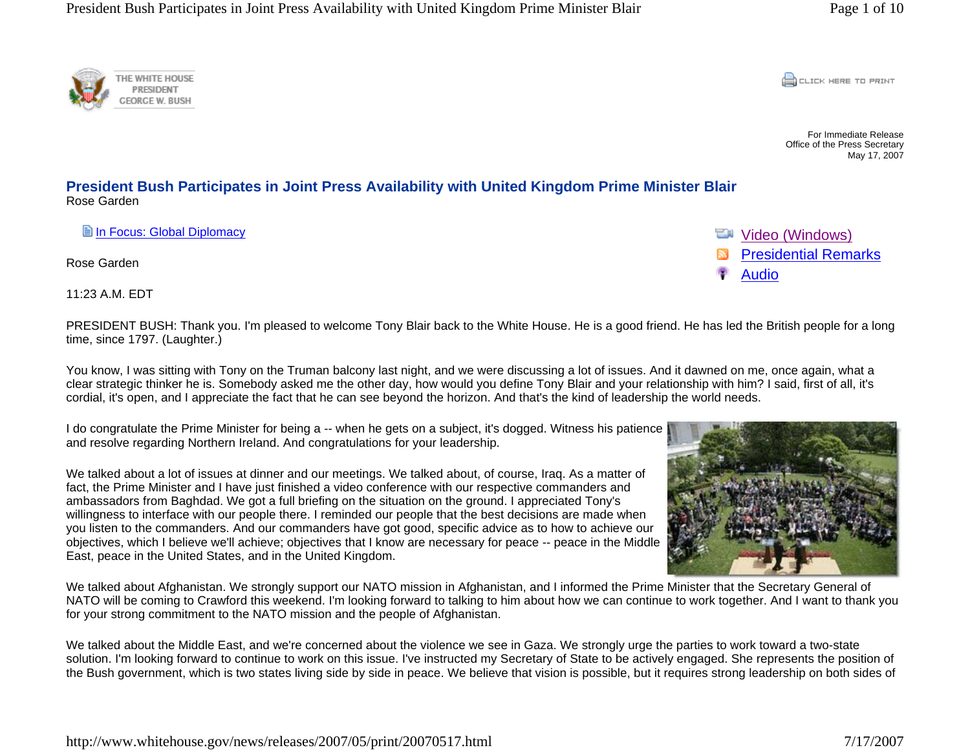**CONCRETE PRINT** 

For Immediate Release Office of the Press Secretary May 17, 2007



**E** In Focus: Global Diplomacy

THE WHITE HOUSE

PRESIDENT FORCE W RUSH

Rose Garden

11:23 A.M. EDT

PRESIDENT BUSH: Thank you. I'm pleased to welcome Tony Blair back to the White House. He is a good friend. He has led the British people for a long time, since 1797. (Laughter.)

You know, I was sitting with Tony on the Truman balcony last night, and we were discussing a lot of issues. And it dawned on me, once again, what a clear strategic thinker he is. Somebody asked me the other day, how would you define Tony Blair and your relationship with him? I said, first of all, it's cordial, it's open, and I appreciate the fact that he can see beyond the horizon. And that's the kind of leadership the world needs.

I do congratulate the Prime Minister for being a -- when he gets on a subject, it's dogged. Witness his patience and resolve regarding Northern Ireland. And congratulations for your leadership.

We talked about a lot of issues at dinner and our meetings. We talked about, of course, Iraq. As a matter of fact, the Prime Minister and I have just finished a video conference with our respective commanders and ambassadors from Baghdad. We got a full briefing on the situation on the ground. I appreciated Tony's willingness to interface with our people there. I reminded our people that the best decisions are made when you listen to the commanders. And our commanders have got good, specific advice as to how to achieve our objectives, which I believe we'll achieve; objectives that I know are necessary for peace -- peace in the Middle East, peace in the United States, and in the United Kingdom.

We talked about Afghanistan. We strongly support our NATO mission in Afghanistan, and I informed the Prime Minister that the Secretary General of NATO will be coming to Crawford this weekend. I'm looking forward to talking to him about how we can continue to work together. And I want to thank you for your strong commitment to the NATO mission and the people of Afghanistan.

We talked about the Middle East, and we're concerned about the violence we see in Gaza. We strongly urge the parties to work toward a two-state solution. I'm looking forward to continue to work on this issue. I've instructed my Secretary of State to be actively engaged. She represents the position of the Bush government, which is two states living side by side in peace. We believe that vision is possible, but it requires strong leadership on both sides of



**Wideo (Windows)** 

Audio

Presidential Remarks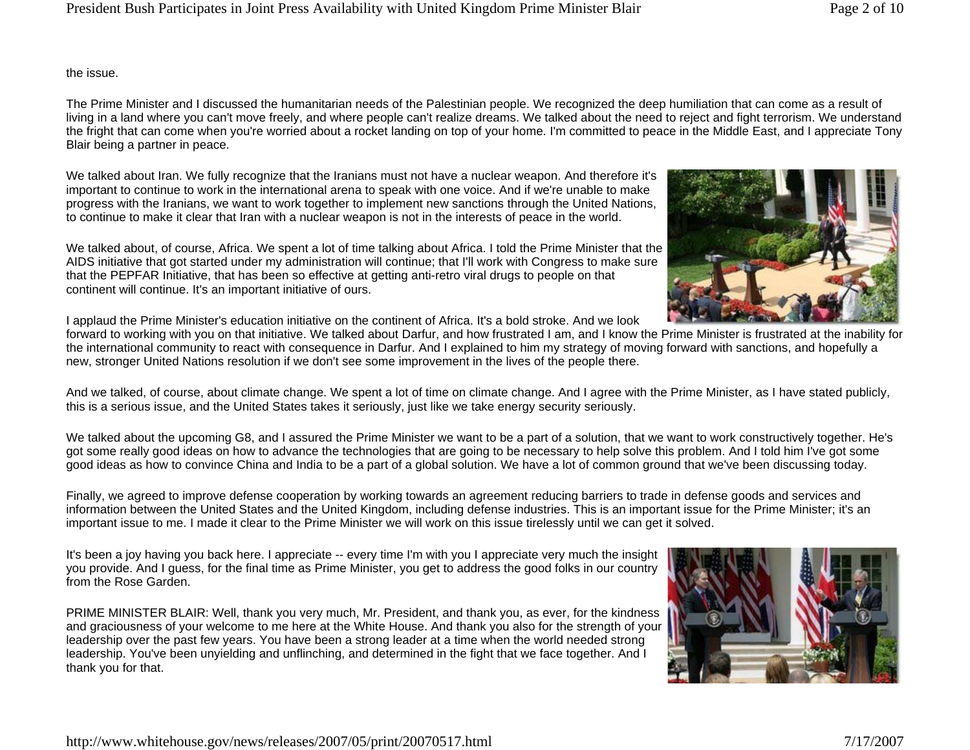# the issue.

The Prime Minister and I discussed the humanitarian needs of the Palestinian people. We recognized the deep humiliation that can come as a result of living in a land where you can't move freely, and where people can't realize dreams. We talked about the need to reject and fight terrorism. We understand the fright that can come when you're worried about a rocket landing on top of your home. I'm committed to peace in the Middle East, and I appreciate Tony Blair being a partner in peace.

We talked about Iran. We fully recognize that the Iranians must not have a nuclear weapon. And therefore it's important to continue to work in the international arena to speak with one voice. And if we're unable to make progress with the Iranians, we want to work together to implement new sanctions through the United Nations, to continue to make it clear that Iran with a nuclear weapon is not in the interests of peace in the world.

We talked about, of course, Africa. We spent a lot of time talking about Africa. I told the Prime Minister that the AIDS initiative that got started under my administration will continue; that I'll work with Congress to make sure that the PEPFAR Initiative, that has been so effective at getting anti-retro viral drugs to people on that continent will continue. It's an important initiative of ours.

I applaud the Prime Minister's education initiative on the continent of Africa. It's a bold stroke. And we look

forward to working with you on that initiative. We talked about Darfur, and how frustrated I am, and I know the Prime Minister is frustrated at the inability for the international community to react with consequence in Darfur. And I explained to him my strategy of moving forward with sanctions, and hopefully a new, stronger United Nations resolution if we don't see some improvement in the lives of the people there.

And we talked, of course, about climate change. We spent a lot of time on climate change. And I agree with the Prime Minister, as I have stated publicly, this is a serious issue, and the United States takes it seriously, just like we take energy security seriously.

We talked about the upcoming G8, and I assured the Prime Minister we want to be a part of a solution, that we want to work constructively together. He's got some really good ideas on how to advance the technologies that are going to be necessary to help solve this problem. And I told him I've got some good ideas as how to convince China and India to be a part of a global solution. We have a lot of common ground that we've been discussing today.

Finally, we agreed to improve defense cooperation by working towards an agreement reducing barriers to trade in defense goods and services and information between the United States and the United Kingdom, including defense industries. This is an important issue for the Prime Minister; it's an important issue to me. I made it clear to the Prime Minister we will work on this issue tirelessly until we can get it solved.

It's been a joy having you back here. I appreciate -- every time I'm with you I appreciate very much the insight you provide. And I guess, for the final time as Prime Minister, you get to address the good folks in our country from the Rose Garden.

PRIME MINISTER BLAIR: Well, thank you very much, Mr. President, and thank you, as ever, for the kindness and graciousness of your welcome to me here at the White House. And thank you also for the strength of your leadership over the past few years. You have been a strong leader at a time when the world needed strong leadership. You've been unyielding and unflinching, and determined in the fight that we face together. And I thank you for that.





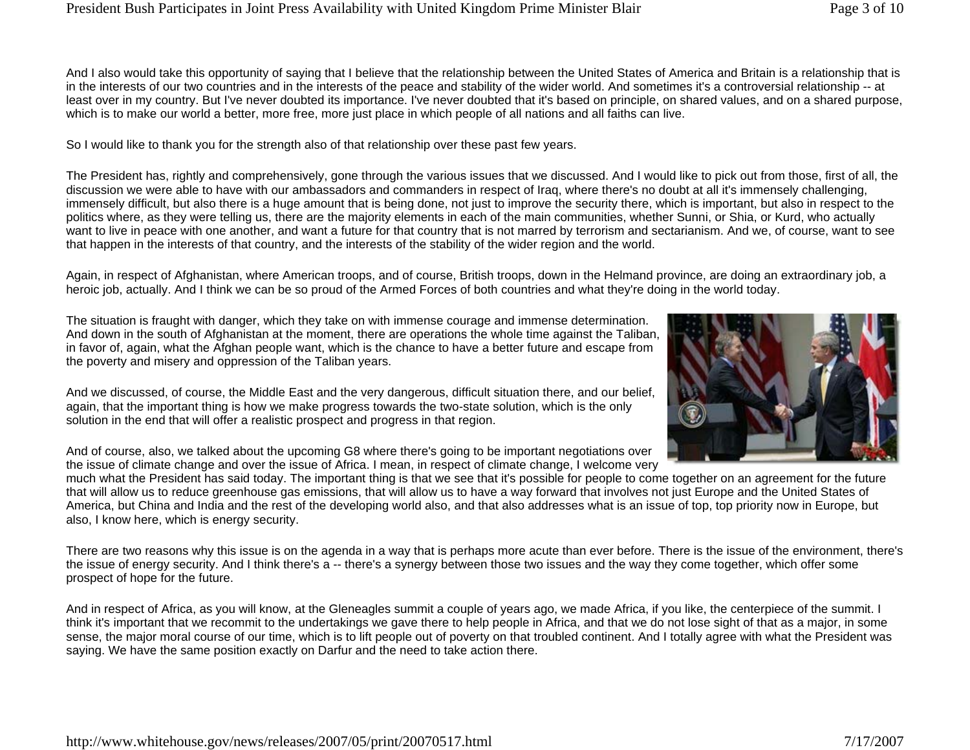And I also would take this opportunity of saying that I believe that the relationship between the United States of America and Britain is a relationship that is in the interests of our two countries and in the interests of the peace and stability of the wider world. And sometimes it's a controversial relationship -- at least over in my country. But I've never doubted its importance. I've never doubted that it's based on principle, on shared values, and on a shared purpose, which is to make our world a better, more free, more just place in which people of all nations and all faiths can live.

So I would like to thank you for the strength also of that relationship over these past few years.

The President has, rightly and comprehensively, gone through the various issues that we discussed. And I would like to pick out from those, first of all, the discussion we were able to have with our ambassadors and commanders in respect of Iraq, where there's no doubt at all it's immensely challenging, immensely difficult, but also there is a huge amount that is being done, not just to improve the security there, which is important, but also in respect to the politics where, as they were telling us, there are the majority elements in each of the main communities, whether Sunni, or Shia, or Kurd, who actually want to live in peace with one another, and want a future for that country that is not marred by terrorism and sectarianism. And we, of course, want to see that happen in the interests of that country, and the interests of the stability of the wider region and the world.

Again, in respect of Afghanistan, where American troops, and of course, British troops, down in the Helmand province, are doing an extraordinary job, a heroic job, actually. And I think we can be so proud of the Armed Forces of both countries and what they're doing in the world today.

The situation is fraught with danger, which they take on with immense courage and immense determination. And down in the south of Afghanistan at the moment, there are operations the whole time against the Taliban, in favor of, again, what the Afghan people want, which is the chance to have a better future and escape from the poverty and misery and oppression of the Taliban years.

And we discussed, of course, the Middle East and the very dangerous, difficult situation there, and our belief, again, that the important thing is how we make progress towards the two-state solution, which is the only solution in the end that will offer a realistic prospect and progress in that region.

And of course, also, we talked about the upcoming G8 where there's going to be important negotiations over the issue of climate change and over the issue of Africa. I mean, in respect of climate change, I welcome very

much what the President has said today. The important thing is that we see that it's possible for people to come together on an agreement for the future that will allow us to reduce greenhouse gas emissions, that will allow us to have a way forward that involves not just Europe and the United States of America, but China and India and the rest of the developing world also, and that also addresses what is an issue of top, top priority now in Europe, but also, I know here, which is energy security.

There are two reasons why this issue is on the agenda in a way that is perhaps more acute than ever before. There is the issue of the environment, there's the issue of energy security. And I think there's a -- there's a synergy between those two issues and the way they come together, which offer some prospect of hope for the future.

And in respect of Africa, as you will know, at the Gleneagles summit a couple of years ago, we made Africa, if you like, the centerpiece of the summit. I think it's important that we recommit to the undertakings we gave there to help people in Africa, and that we do not lose sight of that as a major, in some sense, the major moral course of our time, which is to lift people out of poverty on that troubled continent. And I totally agree with what the President was saying. We have the same position exactly on Darfur and the need to take action there.

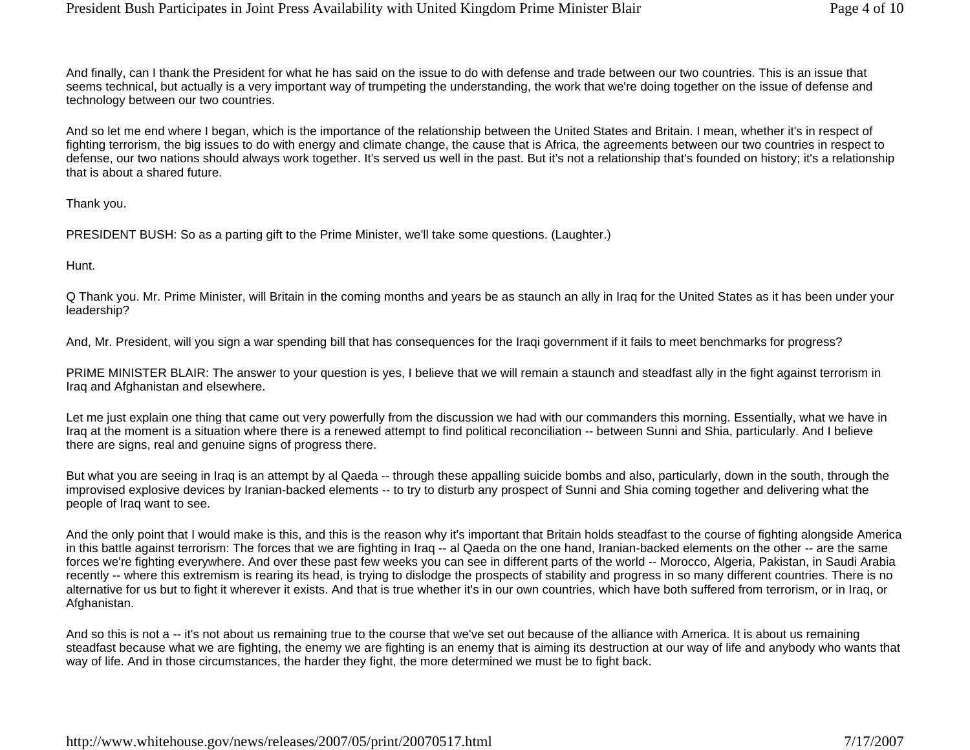And finally, can I thank the President for what he has said on the issue to do with defense and trade between our two countries. This is an issue that seems technical, but actually is a very important way of trumpeting the understanding, the work that we're doing together on the issue of defense and technology between our two countries.

And so let me end where I began, which is the importance of the relationship between the United States and Britain. I mean, whether it's in respect of fighting terrorism, the big issues to do with energy and climate change, the cause that is Africa, the agreements between our two countries in respect to defense, our two nations should always work together. It's served us well in the past. But it's not a relationship that's founded on history; it's a relationship that is about a shared future.

Thank you.

PRESIDENT BUSH: So as a parting gift to the Prime Minister, we'll take some questions. (Laughter.)

Hunt.

Q Thank you. Mr. Prime Minister, will Britain in the coming months and years be as staunch an ally in Iraq for the United States as it has been under your leadership?

And, Mr. President, will you sign a war spending bill that has consequences for the Iraqi government if it fails to meet benchmarks for progress?

PRIME MINISTER BLAIR: The answer to your question is yes, I believe that we will remain a staunch and steadfast ally in the fight against terrorism in Iraq and Afghanistan and elsewhere.

Let me just explain one thing that came out very powerfully from the discussion we had with our commanders this morning. Essentially, what we have in Iraq at the moment is a situation where there is a renewed attempt to find political reconciliation -- between Sunni and Shia, particularly. And I believe there are signs, real and genuine signs of progress there.

But what you are seeing in Iraq is an attempt by al Qaeda -- through these appalling suicide bombs and also, particularly, down in the south, through the improvised explosive devices by Iranian-backed elements -- to try to disturb any prospect of Sunni and Shia coming together and delivering what the people of Iraq want to see.

And the only point that I would make is this, and this is the reason why it's important that Britain holds steadfast to the course of fighting alongside America in this battle against terrorism: The forces that we are fighting in Iraq -- al Qaeda on the one hand, Iranian-backed elements on the other -- are the same forces we're fighting everywhere. And over these past few weeks you can see in different parts of the world -- Morocco, Algeria, Pakistan, in Saudi Arabia recently -- where this extremism is rearing its head, is trying to dislodge the prospects of stability and progress in so many different countries. There is no alternative for us but to fight it wherever it exists. And that is true whether it's in our own countries, which have both suffered from terrorism, or in Iraq, or Afghanistan.

And so this is not a -- it's not about us remaining true to the course that we've set out because of the alliance with America. It is about us remaining steadfast because what we are fighting, the enemy we are fighting is an enemy that is aiming its destruction at our way of life and anybody who wants that way of life. And in those circumstances, the harder they fight, the more determined we must be to fight back.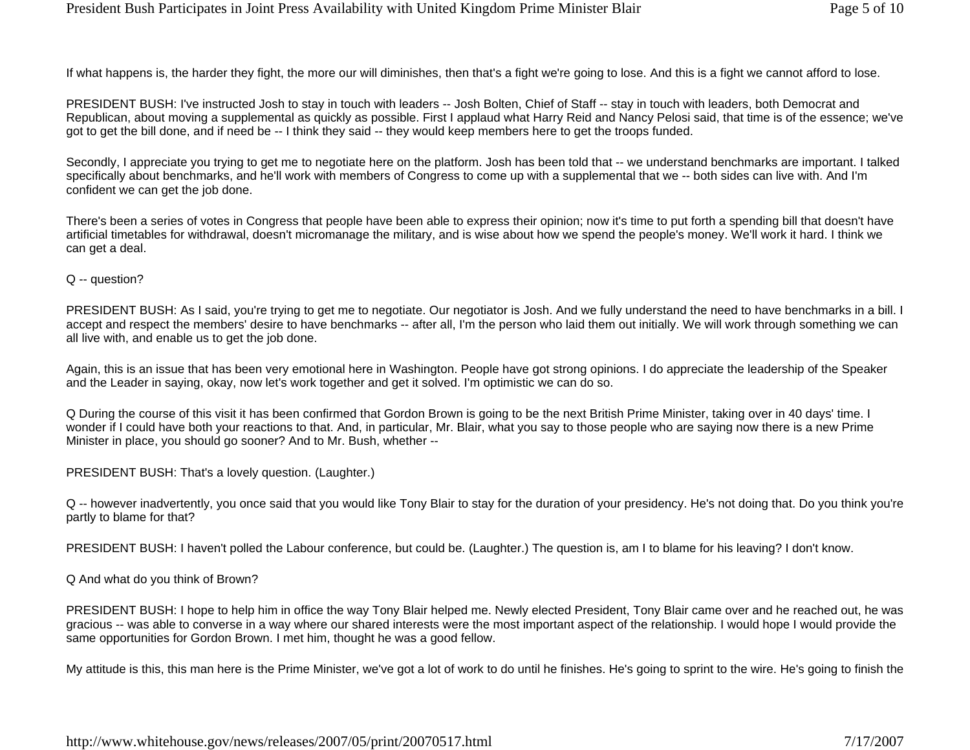If what happens is, the harder they fight, the more our will diminishes, then that's a fight we're going to lose. And this is a fight we cannot afford to lose.

PRESIDENT BUSH: I've instructed Josh to stay in touch with leaders -- Josh Bolten, Chief of Staff -- stay in touch with leaders, both Democrat and Republican, about moving a supplemental as quickly as possible. First I applaud what Harry Reid and Nancy Pelosi said, that time is of the essence; we've got to get the bill done, and if need be -- I think they said -- they would keep members here to get the troops funded.

Secondly, I appreciate you trying to get me to negotiate here on the platform. Josh has been told that -- we understand benchmarks are important. I talked specifically about benchmarks, and he'll work with members of Congress to come up with a supplemental that we -- both sides can live with. And I'm confident we can get the job done.

There's been a series of votes in Congress that people have been able to express their opinion; now it's time to put forth a spending bill that doesn't have artificial timetables for withdrawal, doesn't micromanage the military, and is wise about how we spend the people's money. We'll work it hard. I think we can get a deal.

#### Q -- question?

PRESIDENT BUSH: As I said, you're trying to get me to negotiate. Our negotiator is Josh. And we fully understand the need to have benchmarks in a bill. I accept and respect the members' desire to have benchmarks -- after all, I'm the person who laid them out initially. We will work through something we can all live with, and enable us to get the job done.

Again, this is an issue that has been very emotional here in Washington. People have got strong opinions. I do appreciate the leadership of the Speaker and the Leader in saying, okay, now let's work together and get it solved. I'm optimistic we can do so.

Q During the course of this visit it has been confirmed that Gordon Brown is going to be the next British Prime Minister, taking over in 40 days' time. I wonder if I could have both your reactions to that. And, in particular, Mr. Blair, what you say to those people who are saying now there is a new Prime Minister in place, you should go sooner? And to Mr. Bush, whether --

PRESIDENT BUSH: That's a lovely question. (Laughter.)

Q -- however inadvertently, you once said that you would like Tony Blair to stay for the duration of your presidency. He's not doing that. Do you think you're partly to blame for that?

PRESIDENT BUSH: I haven't polled the Labour conference, but could be. (Laughter.) The question is, am I to blame for his leaving? I don't know.

# Q And what do you think of Brown?

PRESIDENT BUSH: I hope to help him in office the way Tony Blair helped me. Newly elected President, Tony Blair came over and he reached out, he was gracious -- was able to converse in a way where our shared interests were the most important aspect of the relationship. I would hope I would provide the same opportunities for Gordon Brown. I met him, thought he was a good fellow.

My attitude is this, this man here is the Prime Minister, we've got a lot of work to do until he finishes. He's going to sprint to the wire. He's going to finish the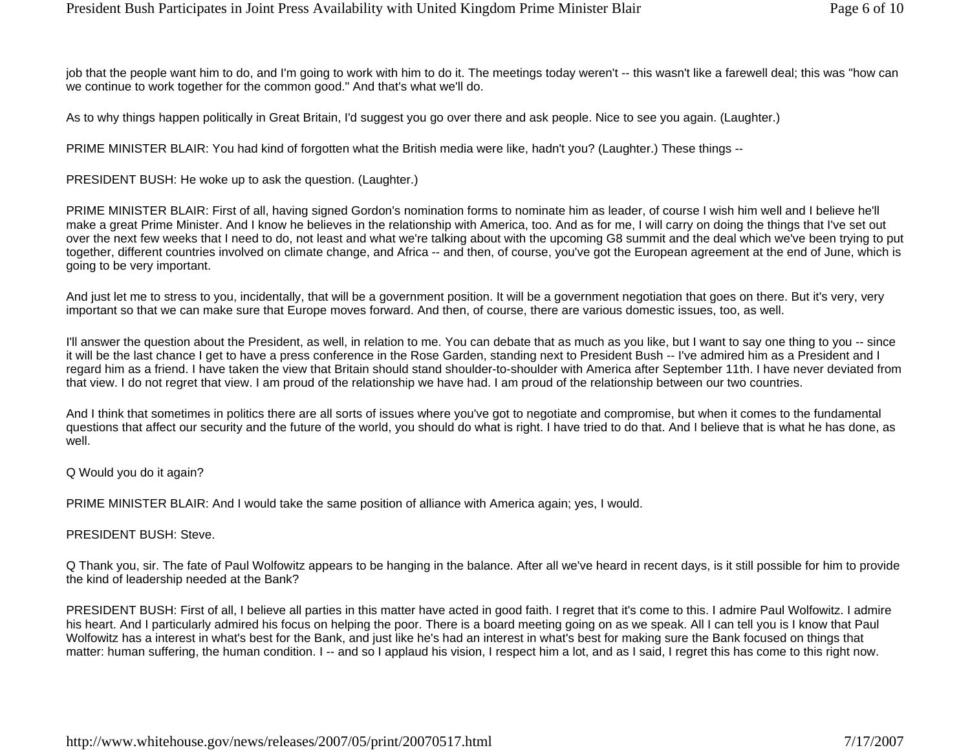job that the people want him to do, and I'm going to work with him to do it. The meetings today weren't -- this wasn't like a farewell deal; this was "how can we continue to work together for the common good." And that's what we'll do.

As to why things happen politically in Great Britain, I'd suggest you go over there and ask people. Nice to see you again. (Laughter.)

PRIME MINISTER BLAIR: You had kind of forgotten what the British media were like, hadn't you? (Laughter.) These things --

PRESIDENT BUSH: He woke up to ask the question. (Laughter.)

PRIME MINISTER BLAIR: First of all, having signed Gordon's nomination forms to nominate him as leader, of course I wish him well and I believe he'll make a great Prime Minister. And I know he believes in the relationship with America, too. And as for me, I will carry on doing the things that I've set out over the next few weeks that I need to do, not least and what we're talking about with the upcoming G8 summit and the deal which we've been trying to put together, different countries involved on climate change, and Africa -- and then, of course, you've got the European agreement at the end of June, which is going to be very important.

And just let me to stress to you, incidentally, that will be a government position. It will be a government negotiation that goes on there. But it's very, very important so that we can make sure that Europe moves forward. And then, of course, there are various domestic issues, too, as well.

I'll answer the question about the President, as well, in relation to me. You can debate that as much as you like, but I want to say one thing to you -- since it will be the last chance I get to have a press conference in the Rose Garden, standing next to President Bush -- I've admired him as a President and I regard him as a friend. I have taken the view that Britain should stand shoulder-to-shoulder with America after September 11th. I have never deviated from that view. I do not regret that view. I am proud of the relationship we have had. I am proud of the relationship between our two countries.

And I think that sometimes in politics there are all sorts of issues where you've got to negotiate and compromise, but when it comes to the fundamental questions that affect our security and the future of the world, you should do what is right. I have tried to do that. And I believe that is what he has done, as well.

Q Would you do it again?

PRIME MINISTER BLAIR: And I would take the same position of alliance with America again; yes, I would.

PRESIDENT BUSH: Steve.

Q Thank you, sir. The fate of Paul Wolfowitz appears to be hanging in the balance. After all we've heard in recent days, is it still possible for him to provide the kind of leadership needed at the Bank?

PRESIDENT BUSH: First of all, I believe all parties in this matter have acted in good faith. I regret that it's come to this. I admire Paul Wolfowitz. I admire his heart. And I particularly admired his focus on helping the poor. There is a board meeting going on as we speak. All I can tell you is I know that Paul Wolfowitz has a interest in what's best for the Bank, and just like he's had an interest in what's best for making sure the Bank focused on things that matter: human suffering, the human condition. I -- and so I applaud his vision, I respect him a lot, and as I said, I regret this has come to this right now.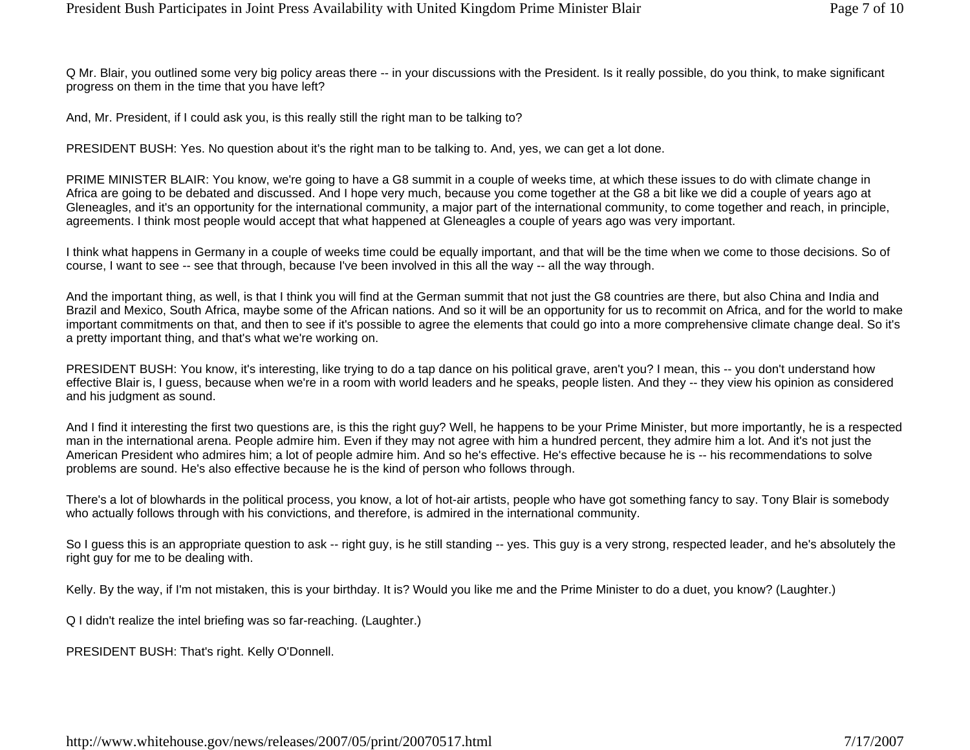Q Mr. Blair, you outlined some very big policy areas there -- in your discussions with the President. Is it really possible, do you think, to make significant progress on them in the time that you have left?

And, Mr. President, if I could ask you, is this really still the right man to be talking to?

PRESIDENT BUSH: Yes. No question about it's the right man to be talking to. And, yes, we can get a lot done.

PRIME MINISTER BLAIR: You know, we're going to have a G8 summit in a couple of weeks time, at which these issues to do with climate change in Africa are going to be debated and discussed. And I hope very much, because you come together at the G8 a bit like we did a couple of years ago at Gleneagles, and it's an opportunity for the international community, a major part of the international community, to come together and reach, in principle, agreements. I think most people would accept that what happened at Gleneagles a couple of years ago was very important.

I think what happens in Germany in a couple of weeks time could be equally important, and that will be the time when we come to those decisions. So of course, I want to see -- see that through, because I've been involved in this all the way -- all the way through.

And the important thing, as well, is that I think you will find at the German summit that not just the G8 countries are there, but also China and India and Brazil and Mexico, South Africa, maybe some of the African nations. And so it will be an opportunity for us to recommit on Africa, and for the world to make important commitments on that, and then to see if it's possible to agree the elements that could go into a more comprehensive climate change deal. So it's a pretty important thing, and that's what we're working on.

PRESIDENT BUSH: You know, it's interesting, like trying to do a tap dance on his political grave, aren't you? I mean, this -- you don't understand how effective Blair is, I guess, because when we're in a room with world leaders and he speaks, people listen. And they -- they view his opinion as considered and his judgment as sound.

And I find it interesting the first two questions are, is this the right guy? Well, he happens to be your Prime Minister, but more importantly, he is a respected man in the international arena. People admire him. Even if they may not agree with him a hundred percent, they admire him a lot. And it's not just the American President who admires him; a lot of people admire him. And so he's effective. He's effective because he is -- his recommendations to solve problems are sound. He's also effective because he is the kind of person who follows through.

There's a lot of blowhards in the political process, you know, a lot of hot-air artists, people who have got something fancy to say. Tony Blair is somebody who actually follows through with his convictions, and therefore, is admired in the international community.

So I guess this is an appropriate question to ask -- right guy, is he still standing -- yes. This guy is a very strong, respected leader, and he's absolutely the right guy for me to be dealing with.

Kelly. By the way, if I'm not mistaken, this is your birthday. It is? Would you like me and the Prime Minister to do a duet, you know? (Laughter.)

Q I didn't realize the intel briefing was so far-reaching. (Laughter.)

PRESIDENT BUSH: That's right. Kelly O'Donnell.

http://www.whitehouse.gov/news/releases/2007/05/print/20070517.html 7/17/2007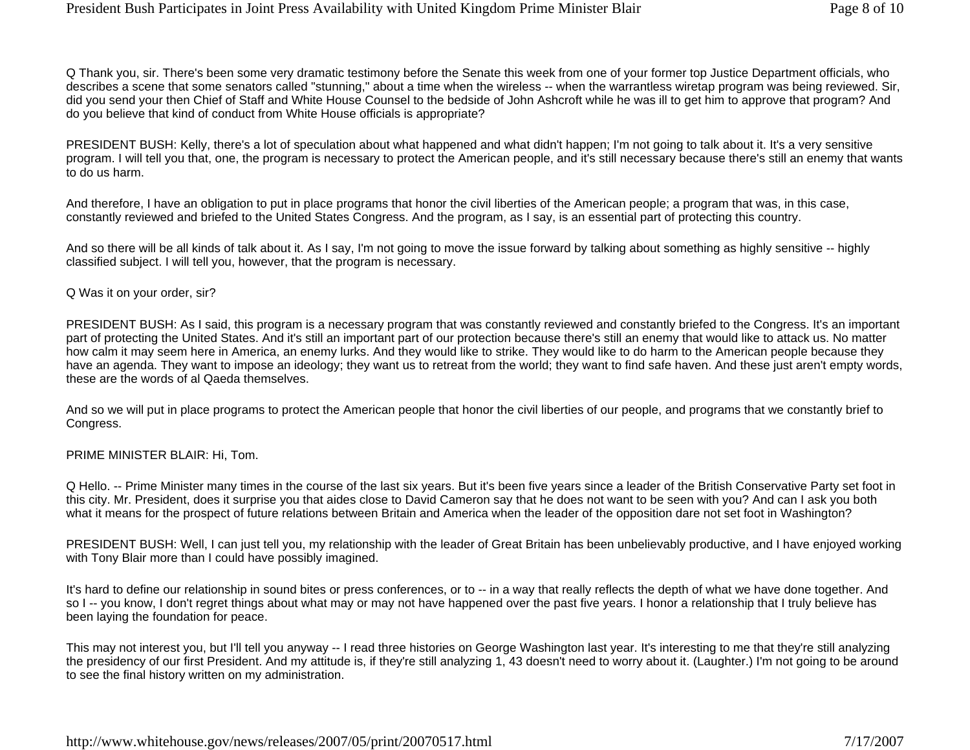Q Thank you, sir. There's been some very dramatic testimony before the Senate this week from one of your former top Justice Department officials, who describes a scene that some senators called "stunning," about a time when the wireless -- when the warrantless wiretap program was being reviewed. Sir, did you send your then Chief of Staff and White House Counsel to the bedside of John Ashcroft while he was ill to get him to approve that program? And do you believe that kind of conduct from White House officials is appropriate?

PRESIDENT BUSH: Kelly, there's a lot of speculation about what happened and what didn't happen; I'm not going to talk about it. It's a very sensitive program. I will tell you that, one, the program is necessary to protect the American people, and it's still necessary because there's still an enemy that wants to do us harm.

And therefore, I have an obligation to put in place programs that honor the civil liberties of the American people; a program that was, in this case, constantly reviewed and briefed to the United States Congress. And the program, as I say, is an essential part of protecting this country.

And so there will be all kinds of talk about it. As I say, I'm not going to move the issue forward by talking about something as highly sensitive -- highly classified subject. I will tell you, however, that the program is necessary.

# Q Was it on your order, sir?

PRESIDENT BUSH: As I said, this program is a necessary program that was constantly reviewed and constantly briefed to the Congress. It's an important part of protecting the United States. And it's still an important part of our protection because there's still an enemy that would like to attack us. No matter how calm it may seem here in America, an enemy lurks. And they would like to strike. They would like to do harm to the American people because they have an agenda. They want to impose an ideology; they want us to retreat from the world; they want to find safe haven. And these just aren't empty words, these are the words of al Qaeda themselves.

And so we will put in place programs to protect the American people that honor the civil liberties of our people, and programs that we constantly brief to Congress.

# PRIME MINISTER BLAIR: Hi, Tom.

Q Hello. -- Prime Minister many times in the course of the last six years. But it's been five years since a leader of the British Conservative Party set foot in this city. Mr. President, does it surprise you that aides close to David Cameron say that he does not want to be seen with you? And can I ask you both what it means for the prospect of future relations between Britain and America when the leader of the opposition dare not set foot in Washington?

PRESIDENT BUSH: Well, I can just tell you, my relationship with the leader of Great Britain has been unbelievably productive, and I have enjoyed working with Tony Blair more than I could have possibly imagined.

It's hard to define our relationship in sound bites or press conferences, or to -- in a way that really reflects the depth of what we have done together. And so I -- you know, I don't regret things about what may or may not have happened over the past five years. I honor a relationship that I truly believe has been laying the foundation for peace.

This may not interest you, but I'll tell you anyway -- I read three histories on George Washington last year. It's interesting to me that they're still analyzing the presidency of our first President. And my attitude is, if they're still analyzing 1, 43 doesn't need to worry about it. (Laughter.) I'm not going to be around to see the final history written on my administration.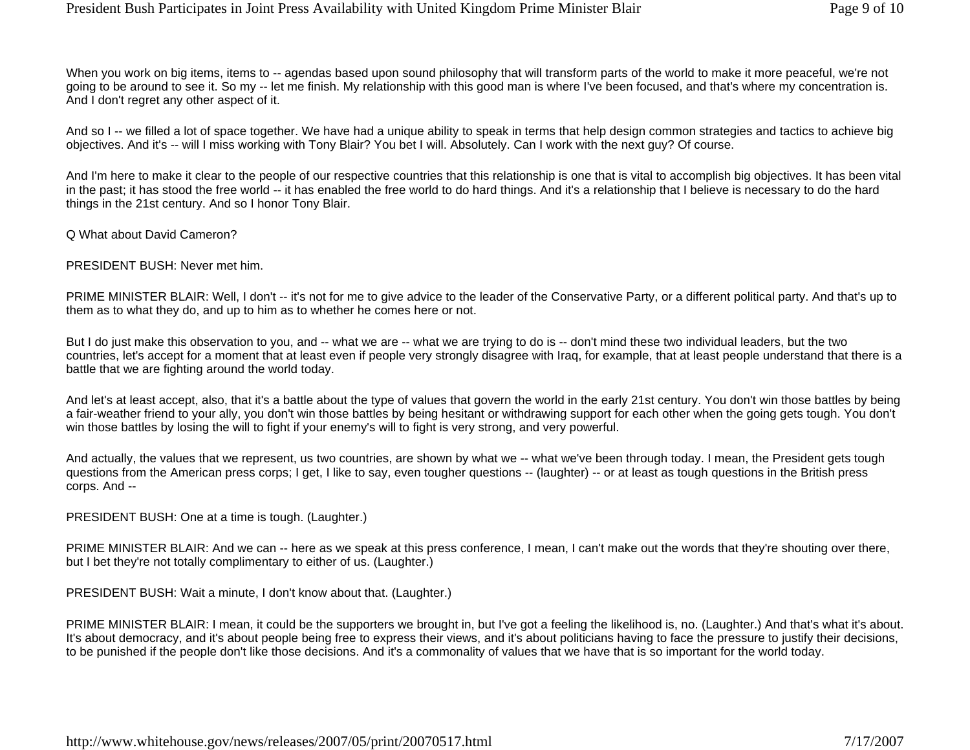When you work on big items, items to -- agendas based upon sound philosophy that will transform parts of the world to make it more peaceful, we're not going to be around to see it. So my -- let me finish. My relationship with this good man is where I've been focused, and that's where my concentration is. And I don't regret any other aspect of it.

And so I -- we filled a lot of space together. We have had a unique ability to speak in terms that help design common strategies and tactics to achieve big objectives. And it's -- will I miss working with Tony Blair? You bet I will. Absolutely. Can I work with the next guy? Of course.

And I'm here to make it clear to the people of our respective countries that this relationship is one that is vital to accomplish big objectives. It has been vital in the past; it has stood the free world -- it has enabled the free world to do hard things. And it's a relationship that I believe is necessary to do the hard things in the 21st century. And so I honor Tony Blair.

Q What about David Cameron?

#### PRESIDENT BUSH: Never met him.

PRIME MINISTER BLAIR: Well, I don't -- it's not for me to give advice to the leader of the Conservative Party, or a different political party. And that's up to them as to what they do, and up to him as to whether he comes here or not.

But I do just make this observation to you, and -- what we are -- what we are trying to do is -- don't mind these two individual leaders, but the two countries, let's accept for a moment that at least even if people very strongly disagree with Iraq, for example, that at least people understand that there is a battle that we are fighting around the world today.

And let's at least accept, also, that it's a battle about the type of values that govern the world in the early 21st century. You don't win those battles by being a fair-weather friend to your ally, you don't win those battles by being hesitant or withdrawing support for each other when the going gets tough. You don't win those battles by losing the will to fight if your enemy's will to fight is very strong, and very powerful.

And actually, the values that we represent, us two countries, are shown by what we -- what we've been through today. I mean, the President gets tough questions from the American press corps; I get, I like to say, even tougher questions -- (laughter) -- or at least as tough questions in the British press corps. And --

PRESIDENT BUSH: One at a time is tough. (Laughter.)

PRIME MINISTER BLAIR: And we can -- here as we speak at this press conference, I mean, I can't make out the words that they're shouting over there, but I bet they're not totally complimentary to either of us. (Laughter.)

PRESIDENT BUSH: Wait a minute, I don't know about that. (Laughter.)

PRIME MINISTER BLAIR: I mean, it could be the supporters we brought in, but I've got a feeling the likelihood is, no. (Laughter.) And that's what it's about. It's about democracy, and it's about people being free to express their views, and it's about politicians having to face the pressure to justify their decisions, to be punished if the people don't like those decisions. And it's a commonality of values that we have that is so important for the world today.